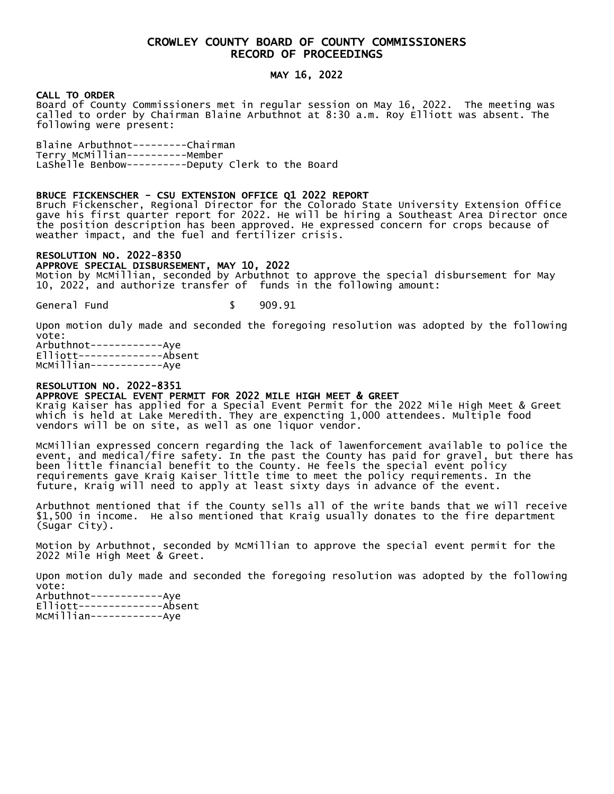# CROWLEY COUNTY BOARD OF COUNTY COMMISSIONERS RECORD OF PROCEEDINGS

# MAY 16, 2022

## CALL TO ORDER

Board of County Commissioners met in regular session on May 16, 2022. The meeting was called to order by Chairman Blaine Arbuthnot at 8:30 a.m. Roy Elliott was absent. The following were present:

Blaine Arbuthnot---------Chairman Terry McMillian----------Member LaShelle Benbow----------Deputy Clerk to the Board

# BRUCE FICKENSCHER - CSU EXTENSION OFFICE Q1 2022 REPORT

Bruch Fickenscher, Regional Director for the Colorado State University Extension Office gave his first quarter report for 2022. He will be hiring a Southeast Area Director once the position description has been approved. He expressed concern for crops because of weather impact, and the fuel and fertilizer crisis.

### RESOLUTION NO. 2022-8350

#### APPROVE SPECIAL DISBURSEMENT, MAY 10, 2022

Motion by McMillian, seconded by Arbuthnot to approve the special disbursement for May 10, 2022, and authorize transfer of funds in the following amount:

General Fund  $$909.91$ 

Upon motion duly made and seconded the foregoing resolution was adopted by the following vote:

Arbuthnot------------Aye Elliott--------------Absent McMillian------------Aye

#### RESOLUTION NO. 2022-8351

APPROVE SPECIAL EVENT PERMIT FOR 2022 MILE HIGH MEET & GREET

Kraig Kaiser has applied for a Special Event Permit for the 2022 Mile High Meet & Greet which is held at Lake Meredith. They are expencting 1,000 attendees. Multiple food vendors will be on site, as well as one liquor vendor.

McMillian expressed concern regarding the lack of lawenforcement available to police the event, and medical/fire safety. In the past the County has paid for gravel, but there has been little financial benefit to the County. He feels the special event policy requirements gave Kraig Kaiser little time to meet the policy requirements. In the future, Kraig will need to apply at least sixty days in advance of the event.

Arbuthnot mentioned that if the County sells all of the write bands that we will receive \$1,500 in income. He also mentioned that Kraig usually donates to the fire department (Sugar City).

Motion by Arbuthnot, seconded by McMillian to approve the special event permit for the 2022 Mile High Meet & Greet.

Upon motion duly made and seconded the foregoing resolution was adopted by the following vote: Arbuthnot------------Aye Elliott--------------Absent

McMillian------------Aye